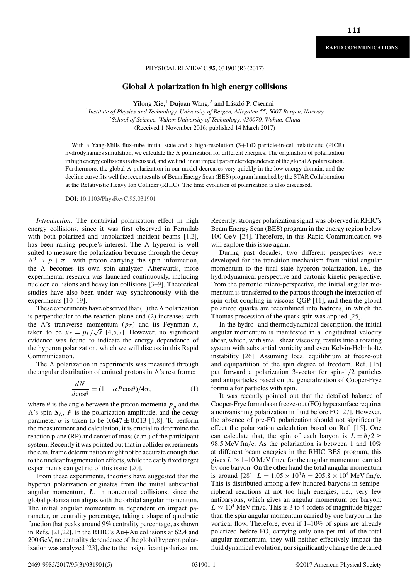### PHYSICAL REVIEW C **95**, 031901(R) (2017)

## **Global** *-* **polarization in high energy collisions**

Yilong Xie,<sup>1</sup> Dujuan Wang,<sup>2</sup> and László P. Csernai<sup>1</sup>

<sup>1</sup>*Institute of Physics and Technology, University of Bergen, Allegaten 55, 5007 Bergen, Norway* <sup>2</sup>*School of Science, Wuhan University of Technology, 430070, Wuhan, China* (Received 1 November 2016; published 14 March 2017)

With a Yang-Mills flux-tube initial state and a high-resolution  $(3+1)D$  particle-in-cell relativistic (PICR) hydrodynamics simulation, we calculate the  $\Lambda$  polarization for different energies. The origination of polarization in high energy collisions is discussed, and we find linear impact parameter dependence of the global  $\Lambda$  polarization. Furthermore, the global  $\Lambda$  polarization in our model decreases very quickly in the low energy domain, and the decline curve fits well the recent results of Beam Energy Scan (BES) program launched by the STAR Collaboration at the Relativistic Heavy Ion Collider (RHIC). The time evolution of polarization is also discussed.

DOI: 10.1103/PhysRevC.95.031901

*Introduction*. The nontrivial polarization effect in high energy collisions, since it was first observed in Fermilab with both polarized and unpolarized incident beams [1,2], has been raising people's interest. The  $\Lambda$  hyperon is well suited to measure the polarization because through the decay  $\Lambda^0 \rightarrow p + \pi^-$  with proton carrying the spin information, the  $\Lambda$  becomes its own spin analyzer. Afterwards, more experimental research was launched continuously, including nucleon collisions and heavy ion collisions [3–9]. Theoretical studies have also been under way synchronously with the experiments [10–19].

These experiments have observed that  $(1)$  the  $\Lambda$  polarization is perpendicular to the reaction plane and (2) increases with the  $\Lambda$ 's transverse momentum  $(p_T)$  and its Feynman x, taken to be  $x_F = p_L/\sqrt{s}$  [4,5,7]. However, no significant evidence was found to indicate the energy dependence of the hyperon polarization, which we will discuss in this Rapid Communication.

The  $\Lambda$  polarization in experiments was measured through the angular distribution of emitted protons in  $\Lambda$ 's rest frame:

$$
\frac{dN}{d\cos\theta} = (1 + \alpha P \cos\theta)/4\pi,\tag{1}
$$

where  $\theta$  is the angle between the proton momenta  $p_n$  and the  $\Lambda$ 's spin  $S_{\Lambda}$ , P is the polarization amplitude, and the decay parameter  $\alpha$  is taken to be 0.647  $\pm$  0.013 [1,8]. To perform the measurement and calculation, it is crucial to determine the reaction plane (RP) and center of mass (c.m.) of the participant system. Recently it was pointed out that in collider experiments the c.m. frame determination might not be accurate enough due to the nuclear fragmentation effects, while the early fixed target experiments can get rid of this issue [20].

From these experiments, theorists have suggested that the hyperon polarization originates from the initial substantial angular momentum, *L*, in noncentral collisions, since the global polarization aligns with the orbital angular momentum. The initial angular momentum is dependent on impact parameter, or centrality percentage, taking a shape of quadratic function that peaks around 9% centrality percentage, as shown in Refs. [21,22]. In the RHIC's Au+Au collisions at 62.4 and 200 GeV, no centrality dependence of the global hyperon polarization was analyzed [23], due to the insignificant polarization. Recently, stronger polarization signal was observed in RHIC's Beam Energy Scan (BES) program in the energy region below 100 GeV [24]. Therefore, in this Rapid Communication we will explore this issue again.

During past decades, two different perspectives were developed for the transition mechanism from initial angular momentum to the final state hyperon polarization, i.e., the hydrodynamical perspective and partonic kinetic perspective. From the partonic micro-perspective, the initial angular momentum is transferred to the partons through the interaction of spin-orbit coupling in viscous QGP [11], and then the global polarized quarks are recombined into hadrons, in which the Thomas precession of the quark spin was applied [25].

In the hydro- and thermodynamical description, the initial angular momentum is manifested in a longitudinal velocity shear, which, with small shear viscosity, results into a rotating system with substantial vorticity and even Kelvin-Helmholtz instability [26]. Assuming local equilibrium at freeze-out and equipartition of the spin degree of freedom, Ref. [15] put forward a polarization 3-vector for spin-1/2 particles and antiparticles based on the generalization of Cooper-Frye formula for particles with spin.

It was recently pointed out that the detailed balance of Cooper-Frye formula on freeze-out (FO) hypersurface requires a nonvanishing polarization in fluid before FO [27]. However, the absence of pre-FO polarization should not significantly effect the polarization calculation based on Ref. [15]. One can calculate that, the spin of each baryon is  $L = \hbar/2 \approx$ 98.5 MeV fm/c. As the polarization is between 1 and 10% at different beam energies in the RHIC BES program, this gives  $L \approx 1$ –10 MeV fm/c for the angular momentum carried by one baryon. On the other hand the total angular momentum is around [28]:  $L = 1.05 \times 10^4 \hbar = 205.8 \times 10^4 \text{ MeV fm/c.}$ This is distributed among a few hundred baryons in semiperipheral reactions at not too high energies, i.e., very few antibaryons, which gives an angular momentum per baryon:  $L \approx 10^4$  MeV fm/c. This is 3 to 4 orders of magnitude bigger than the spin angular momentum carried by one baryon in the vortical flow. Therefore, even if 1–10% of spins are already polarized before FO, carrying only one per mil of the total angular momentum, they will neither effectively impact the fluid dynamical evolution, nor significantly change the detailed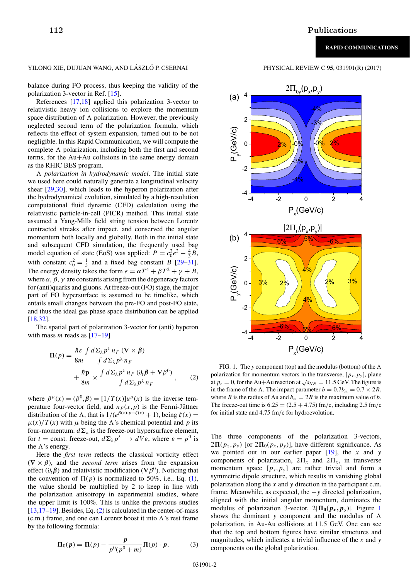# YILONG XIE, DUJUAN WANG, AND LÁSZLÓ P. CSERNAI PHYSICAL REVIEW C 95, 031901(R) (2017)

balance during FO process, thus keeping the validity of the polarization 3-vector in Ref. [15].

References [17,18] applied this polarization 3-vector to relativistic heavy ion collisions to explore the momentum space distribution of  $\Lambda$  polarization. However, the previously neglected second term of the polarization formula, which reflects the effect of system expansion, turned out to be not negligible. In this Rapid Communication, we will compute the complete  $\Lambda$  polarization, including both the first and second terms, for the Au+Au collisions in the same energy domain as the RHIC BES program.

- *polarization in hydrodynamic model*. The initial state we used here could naturally generate a longitudinal velocity shear [29,30], which leads to the hyperon polarization after the hydrodynamical evolution, simulated by a high-resolution computational fluid dynamic (CFD) calculation using the relativistic particle-in-cell (PICR) method. This initial state assumed a Yang-Mills field string tension between Lorentz contracted streaks after impact, and conserved the angular momentum both locally and globally. Both in the initial state and subsequent CFD simulation, the frequently used bag model equation of state (EoS) was applied:  $P = c_0^2 e^2 - \frac{4}{3}B$ , with constant  $c_0^2 = \frac{1}{3}$  and a fixed bag constant B [29–31]. The energy density takes the form  $e = \alpha T^4 + \beta T^2 + \gamma + B$ , where  $\alpha$ ,  $\beta$ ,  $\gamma$  are constants arising from the degeneracy factors for (anti)quarks and gluons. At freeze-out (FO) stage, the major part of FO hypersurface is assumed to be timelike, which entails small changes between the pre-FO and post-FO state, and thus the ideal gas phase space distribution can be applied [18,32].

The spatial part of polarization 3-vector for (anti) hyperon with mass  $m$  reads as  $[17-19]$ 

$$
\Pi(p) = \frac{\hbar \varepsilon}{8m} \frac{\int d\Sigma_{\lambda} p^{\lambda} n_F (\nabla \times \beta)}{\int d\Sigma_{\lambda} p^{\lambda} n_F} + \frac{\hbar \mathbf{p}}{8m} \times \frac{\int d\Sigma_{\lambda} p^{\lambda} n_F (\partial_t \beta + \nabla \beta^0)}{\int d\Sigma_{\lambda} p^{\lambda} n_F}, \qquad (2)
$$

where  $\beta^{\mu}(x) = (\beta^0, \beta) = [1/T(x)]u^{\mu}(x)$  is the inverse temperature four-vector field, and  $n_F(x,p)$  is the Fermi-Jüttner distribution of the  $\Lambda$ , that is  $1/(e^{\beta(x) \cdot p - \xi(x)} + 1)$ , being  $\xi(x) =$  $\mu(x)/T(x)$  with  $\mu$  being the  $\Lambda$ 's chemical potential and p its four-momentum.  $d\Sigma_{\lambda}$  is the freeze-out hypersurface element, for  $t =$  const. freeze-out,  $d\Sigma_{\lambda} p^{\lambda} \rightarrow dV \varepsilon$ , where  $\varepsilon = p^0$  is the  $\Lambda$ 's energy.

Here the *first term* reflects the classical vorticity effect  $(\nabla \times \beta)$ , and the *second term* arises from the expansion effect ( $\partial_t \beta$ ) and relativistic modification ( $\nabla \beta^0$ ). Noticing that the convention of  $\Pi(p)$  is normalized to 50%, i.e., Eq. (1), the value should be multiplied by 2 to keep in line with the polarization anisotropy in experimental studies, where the upper limit is 100%. This is unlike the previous studies  $[13,17–19]$ . Besides, Eq.  $(2)$  is calculated in the center-of-mass  $(c.m.)$  frame, and one can Lorentz boost it into  $\Lambda$ 's rest frame by the following formula:

$$
\mathbf{\Pi}_0(\mathbf{p}) = \mathbf{\Pi}(p) - \frac{\mathbf{p}}{p^0(p^0 + m)} \mathbf{\Pi}(p) \cdot \mathbf{p}.
$$
 (3)



FIG. 1. The y component (top) and the modulus (bottom) of the  $\Lambda$ polarization for momentum vectors in the transverse,  $[p_x, p_y]$ , plane at  $p_z = 0$ , for the Au+Au reaction at  $\sqrt{s_{NN}} = 11.5$  GeV. The figure is in the frame of the  $\Lambda$ . The impact parameter  $b = 0.7b_m = 0.7 \times 2R$ , where R is the radius of Au and  $b_m = 2R$  is the maximum value of b. The freeze-out time is  $6.25 = (2.5 + 4.75)$  fm/c, including 2.5 fm/c for initial state and 4.75 fm/c for hydroevolution.

The three components of the polarization 3-vectors,  $2\Pi(p_x, p_y)$  [or  $2\Pi_0(p_x, p_y)$ ], have different significance. As we pointed out in our earlier paper  $[19]$ , the x and y components of polarization,  $2\Pi_x$  and  $2\Pi_x$ , in transverse momentum space  $[p_x, p_y]$  are rather trivial and form a symmetric dipole structure, which results in vanishing global polarization along the  $x$  and  $y$  direction in the participant c.m. frame. Meanwhile, as expected, the  $-y$  directed polarization, aligned with the initial angular momentum, dominates the modulus of polarization 3-vector,  $2|\Pi_0(p_x, p_y)|$ . Figure 1 shows the dominant y component and the modulus of  $\Lambda$ polarization, in Au-Au collisions at 11.5 GeV. One can see that the top and bottom figures have similar structures and magnitudes, which indicates a trivial influence of the  $x$  and  $y$ components on the global polarization.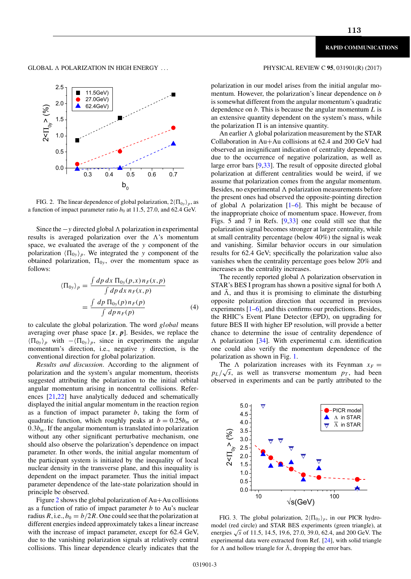GLOBAL A POLARIZATION IN HIGH ENERGY ...



FIG. 2. The linear dependence of global polarization,  $2(\Pi_{0y})_p$ , as a function of impact parameter ratio  $b_0$  at 11.5, 27.0, and 62.4 GeV.

Since the  $-y$  directed global  $\Lambda$  polarization in experimental results is averaged polarization over the  $\Lambda$ 's momentum space, we evaluated the average of the y component of the polarization  $\langle \Pi_{0y} \rangle_p$ . We integrated the y component of the obtained polarization,  $\Pi_{0v}$ , over the momentum space as follows:

$$
\langle \Pi_{0y} \rangle_p = \frac{\int dp \, dx \, \Pi_{0y}(p,x) n_F(x,p)}{\int dp \, dx \, n_F(x,p)}
$$

$$
= \frac{\int dp \, \Pi_{0y}(p) n_F(p)}{\int dp \, n_F(p)} \tag{4}
$$

to calculate the global polarization. The word global means averaging over phase space  $[x, p]$ . Besides, we replace the  $\langle \Pi_{0y} \rangle_p$  with  $-\langle \Pi_{0y} \rangle_p$ , since in experiments the angular momentum's direction, i.e., negative y direction, is the conventional direction for global polarization.

*Results and discussion*. According to the alignment of polarization and the system's angular momentum, theorists suggested attributing the polarization to the initial orbital angular momentum arising in noncentral collisions. References [21,22] have analytically deduced and schematically displayed the initial angular momentum in the reaction region as a function of impact parameter  $b$ , taking the form of quadratic function, which roughly peaks at  $b = 0.25b_m$  or  $0.3b<sub>m</sub>$ . If the angular momentum is translated into polarization without any other significant perturbative mechanism, one should also observe the polarization's dependence on impact parameter. In other words, the initial angular momentum of the participant system is initiated by the inequality of local nuclear density in the transverse plane, and this inequality is dependent on the impact parameter. Thus the initial impact parameter dependence of the late-state polarization should in principle be observed.

Figure 2 shows the global polarization of Au+Au collisions as a function of ratio of impact parameter  $b$  to Au's nuclear radius R, i.e.,  $b_0 = b/2R$ . One could see that the polarization at different energies indeed approximately takes a linear increase with the increase of impact parameter, except for 62.4 GeV, due to the vanishing polarization signals at relatively central collisions. This linear dependence clearly indicates that the

## PHYSICAL REVIEW C 95, 031901(R) (2017)

polarization in our model arises from the initial angular momentum. However, the polarization's linear dependence on b is somewhat different from the angular momentum's quadratic dependence on  $b$ . This is because the angular momentum  $L$  is an extensive quantity dependent on the system's mass, while the polarization  $\Pi$  is an intensive quantity.

An earlier  $\Lambda$  global polarization measurement by the STAR Collaboration in Au+Au collisions at 62.4 and 200 GeV had observed an insignificant indication of centrality dependence, due to the occurrence of negative polarization, as well as large error bars [9,33]. The result of opposite directed global polarization at different centralities would be weird, if we assume that polarization comes from the angular momentum. Besides, no experimental  $\Lambda$  polarization measurements before the present ones had observed the opposite-pointing direction of global  $\Lambda$  polarization [1–6]. This might be because of the inappropriate choice of momentum space. However, from Figs. 5 and 7 in Refs. [9,33] one could still see that the polarization signal becomes stronger at larger centrality, while at small centrality percentage (below 40%) the signal is weak and vanishing. Similar behavior occurs in our simulation results for 62.4 GeV; specifically the polarization value also vanishes when the centrality percentage goes below 20% and increases as the centrality increases.

The recently reported global  $\Lambda$  polarization observation in STAR's BES I program has shown a positive signal for both  $\Lambda$ and  $\bar{\Lambda}$ , and thus it is promising to eliminate the disturbing opposite polarization direction that occurred in previous experiments [1–6], and this confirms our predictions. Besides, the RHIC's Event Plane Detector (EPD), on upgrading for future BES II with higher EP resolution, will provide a better chance to determine the issue of centrality dependence of - polarization [34]. With experimental c.m. identification one could also verify the momentum dependence of the polarization as shown in Fig. 1.

The  $\Lambda$  polarization increases with its Feynman  $x_F =$  $p_L/\sqrt{s}$ , as well as transverse momentum  $p_T$ , had been observed in experiments and can be partly attributed to the



FIG. 3. The global polarization,  $2\langle\Pi_{0y}\rangle_p$ , in our PICR hydromodel (red circle) and STAR BES experiments (green triangle), at energies  $\sqrt{s}$  of 11.5, 14.5, 19.6, 27.0, 39.0, 62.4, and 200 GeV. The experimental data were extracted from Ref. [24], with solid triangle for  $\Lambda$  and hollow triangle for  $\bar{\Lambda}$ , dropping the error bars.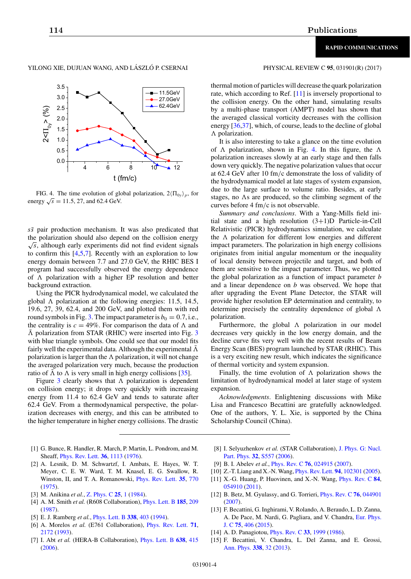## YILONG XIE, DUJUAN WANG, AND LÁSZLÓ P. CSERNAI PHYSICAL REVIEW C 95, 031901(R) (2017)



FIG. 4. The time evolution of global polarization,  $2\langle\Pi_{0y}\rangle_p$ , for energy  $\sqrt{s}$  = 11.5, 27, and 62.4 GeV.

 $s\bar{s}$  pair production mechanism. It was also predicated that the polarization should also depend on the collision energy  $\sqrt{s}$ , although early experiments did not find evident signals to confirm this [4,5,7]. Recently with an exploration to low energy domain between 7.7 and 27.0 GeV, the RHIC BES I program had successfully observed the energy dependence of  $\Lambda$  polarization with a higher EP resolution and better background extraction.

Using the PICR hydrodynamical model, we calculated the global  $\Lambda$  polarization at the following energies: 11.5, 14.5, 19.6, 27, 39, 62.4, and 200 GeV, and plotted them with red round symbols in Fig. 3. The impact parameter is  $b_0 = 0.7$ , i.e., the centrality is  $c = 49\%$ . For comparison the data of  $\Lambda$  and  $\bar{\Lambda}$  polarization from STAR (RHIC) were inserted into Fig. 3 with blue triangle symbols. One could see that our model fits fairly well the experimental data. Although the experimental  $\bar{\Lambda}$ polarization is larger than the  $\Lambda$  polarization, it will not change the averaged polarization very much, because the production ratio of  $\overline{\Lambda}$  to  $\Lambda$  is very small in high energy collisions [35].

Figure  $3$  clearly shows that  $\Lambda$  polarization is dependent on collision energy; it drops very quickly with increasing energy from 11.4 to 62.4 GeV and tends to saturate after 62.4 GeV. From a thermodynamical perspective, the polarization decreases with energy, and this can be attributed to the higher temperature in higher energy collisions. The drastic

ublications

thermal motion of particles will decrease the quark polarization rate, which according to Ref. [11] is inversely proportional to the collision energy. On the other hand, simulating results by a multi-phase transport (AMPT) model has shown that the averaged classical vorticity decreases with the collision energy [36,37], which, of course, leads to the decline of global  $\Lambda$  polarization.

It is also interesting to take a glance on the time evolution of  $\Lambda$  polarization, shown in Fig. 4. In this figure, the  $\Lambda$ polarization increases slowly at an early stage and then falls down very quickly. The negative polarization values that occur at 62.4 GeV after 10 fm/c demonstrate the loss of validity of the hydrodynamical model at late stages of system expansion, due to the large surface to volume ratio. Besides, at early stages, no  $\Lambda$ s are produced, so the climbing segment of the curves before 4 fm/c is not observable.

*Summary and conclusions*. With a Yang-Mills field initial state and a high resolution (3+1)D Particle-in-Cell Relativistic (PICR) hydrodynamics simulation, we calculate the  $\Lambda$  polarization for different low energies and different impact parameters. The polarization in high energy collisions originates from initial angular momentum or the inequality of local density between projectile and target, and both of them are sensitive to the impact parameter. Thus, we plotted the global polarization as a function of impact parameter  $b$ and a linear dependence on b was observed. We hope that after upgrading the Event Plane Detector, the STAR will provide higher resolution EP determination and centrality, to determine precisely the centrality dependence of global  $\Lambda$ polarization.

Furthermore, the global  $\Lambda$  polarization in our model decreases very quickly in the low energy domain, and the decline curve fits very well with the recent results of Beam Energy Scan (BES) program launched by STAR (RHIC). This is a very exciting new result, which indicates the significance of thermal vorticity and system expansion.

Finally, the time evolution of  $\Lambda$  polarization shows the limitation of hydrodynamical model at later stage of system expansion.

*Acknowledgments*. Enlightening discussions with Mike Lisa and Francesco Becattini are gratefully acknowledged. One of the authors, Y. L. Xie, is supported by the China Scholarship Council (China).

- [1] G. Bunce, R. Handler, R. March, P. Martin, L. Pondrom, and M. Sheaff, Phys. Rev. Lett. **36**, 1113 (1976).
- [2] A. Lesnik, D. M. Schwartzf, I. Ambats, E. Hayes, W. T. Meyer, C. E. W. Ward, T. M. Knasel, E. G. Swallow, R. Winston, II, and T. A. Romanowski, Phys. Rev. Lett. **35**, 770 (1975).
- [3] M. Anikina *et al.*, Z. Phys. C **25**, 1 (1984).
- [4] A. M. Smith *et al.* (R608 Collaboration), Phys. Lett. B **185**, 209 (1987).
- [5] E. J. Ramberg *et al.*, Phys. Lett. B **338**, 403 (1994).
- [6] A. Morelos *et al.* (E761 Collaboration), Phys. Rev. Lett. **71**, 2172 (1993).
- [7] I. Abt *et al.* (HERA-B Collaboration), Phys. Lett. B **638**, 415 (2006).
- [8] I. Selyuzhenkov *et al.* (STAR Collaboration), J. Phys. G: Nucl. Part. Phys. **32**, S557 (2006).
- [9] B. I. Abelev *et al.*, Phys. Rev. C **76**, 024915 (2007).
- [10] Z.-T. Liang and X.-N. Wang, Phys. Rev. Lett. **94**, 102301 (2005).
- [11] X.-G. Huang, P. Huovinen, and X.-N. Wang, Phys. Rev. C **84**, 054910 (2011).
- [12] B. Betz, M. Gyulassy, and G. Torrieri, Phys. Rev. C **76**, 044901 (2007).
- [13] F. Becattini, G. Inghirami, V. Rolando, A. Beraudo, L. D. Zanna, A. De Pace, M. Nardi, G. Pagliara, and V. Chandra, Eur. Phys. J. C **75**, 406 (2015).
- [14] A. D. Panagiotou, Phys. Rev. C **33**, 1999 (1986).
- [15] F. Becattini, V. Chandra, L. Del Zanna, and E. Grossi, Ann. Phys. **338**, 32 (2013).